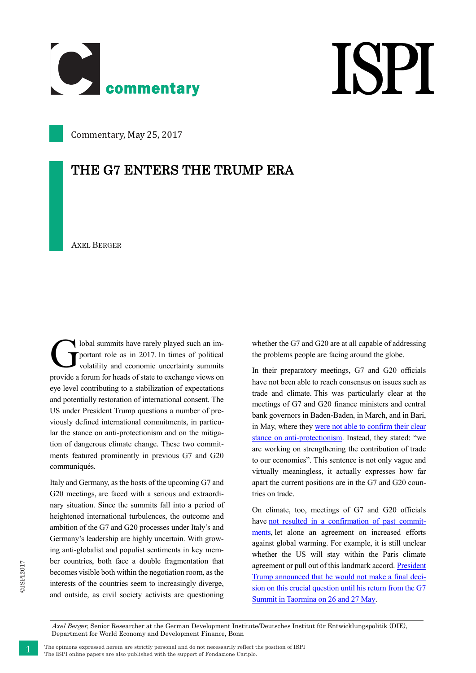

## **ISPI**

Commentary, May 25, 2017

## THE G7 ENTERS THE TRUMP ERA

AXEL BERGER

lobal summits have rarely played such an important role as in 2017. In times of political volatility and economic uncertainty summits provide a forum for heads of state to exchange views on eye level contributing to a stabilization of expectations and potentially restoration of international consent. The US under President Trump questions a number of previously defined international commitments, in particular the stance on anti-protectionism and on the mitigation of dangerous climate change. These two commitments featured prominently in previous G7 and G20 communiqués. G

Italy and Germany, as the hosts of the upcoming G7 and G20 meetings, are faced with a serious and extraordinary situation. Since the summits fall into a period of heightened international turbulences, the outcome and ambition of the G7 and G20 processes under Italy's and Germany's leadership are highly uncertain. With growing anti-globalist and populist sentiments in key member countries, both face a double fragmentation that becomes visible both within the negotiation room, as the interests of the countries seem to increasingly diverge, and outside, as civil society activists are questioning

whether the G7 and G20 are at all capable of addressing the problems people are facing around the globe.

In their preparatory meetings, G7 and G20 officials have not been able to reach consensus on issues such as trade and climate. This was particularly clear at the meetings of G7 and G20 finance ministers and central bank governors in Baden-Baden, in March, and in Bari, in May, where they [were not able to confirm their clear](https://www.ft.com/content/f3a5c006-38b0-11e7-821a-6027b8a20f23)  [stance on anti-protectionism.](https://www.ft.com/content/f3a5c006-38b0-11e7-821a-6027b8a20f23) Instead, they stated: "we are working on strengthening the contribution of trade to our economies". This sentence is not only vague and virtually meaningless, it actually expresses how far apart the current positions are in the G7 and G20 countries on trade.

On climate, too, meetings of G7 and G20 officials have [not resulted in a confirmation of past commit](http://www.reuters.com/article/us-g7-energy-u-s-idUSKBN17C1F3)[ments,](http://www.reuters.com/article/us-g7-energy-u-s-idUSKBN17C1F3) let alone an agreement on increased efforts against global warming. For example, it is still unclear whether the US will stay within the Paris climate agreement or pull out of this landmark accord. [President](http://www.reuters.com/article/us-usa-trump-climate-idUSKBN18529Z)  [Trump announced that he would not make a final deci](http://www.reuters.com/article/us-usa-trump-climate-idUSKBN18529Z)[sion on this crucial question until his return from the G7](http://www.reuters.com/article/us-usa-trump-climate-idUSKBN18529Z)  [Summit in Taormina on 26 and 27 May.](http://www.reuters.com/article/us-usa-trump-climate-idUSKBN18529Z)

Axel Berger, Senior Researcher at the German Development Institute/Deutsches Institut für Entwicklungspolitik (DIE), Department for World Economy and Development Finance, Bonn